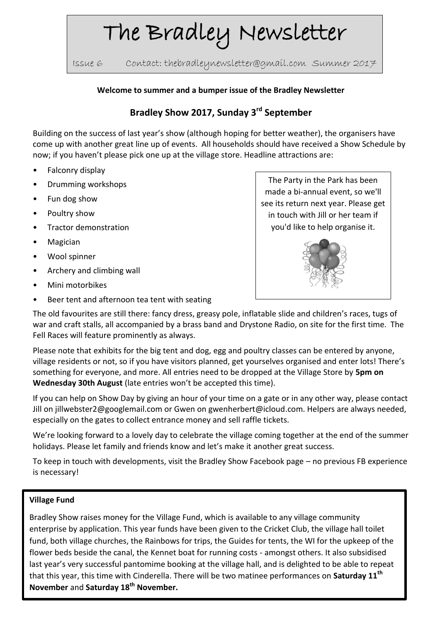# The Bradley Newsletter

Issue 6 Contact: thebradleynewsletter@gmail.com Summer 2017

#### **Welcome to summer and a bumper issue of the Bradley Newsletter**

# **Bradley Show 2017, Sunday 3rd September**

Building on the success of last year's show (although hoping for better weather), the organisers have come up with another great line up of events. All households should have received a Show Schedule by now; if you haven't please pick one up at the village store. Headline attractions are:

- Falconry display
- Drumming workshops
- Fun dog show
- Poultry show
- Tractor demonstration
- **Magician**
- Wool spinner
- Archery and climbing wall
- Mini motorbikes
- Beer tent and afternoon tea tent with seating

The Party in the Park has been made a bi-annual event, so we'll see its return next year. Please get in touch with Jill or her team if you'd like to help organise it.



The old favourites are still there: fancy dress, greasy pole, inflatable slide and children's races, tugs of war and craft stalls, all accompanied by a brass band and Drystone Radio, on site for the first time. The Fell Races will feature prominently as always.

Please note that exhibits for the big tent and dog, egg and poultry classes can be entered by anyone, village residents or not, so if you have visitors planned, get yourselves organised and enter lots! There's something for everyone, and more. All entries need to be dropped at the Village Store by **5pm on Wednesday 30th August** (late entries won't be accepted this time).

If you can help on Show Day by giving an hour of your time on a gate or in any other way, please contact Jill on jillwebster2@googlemail.com or Gwen on gwenherbert@icloud.com. Helpers are always needed, especially on the gates to collect entrance money and sell raffle tickets.

We're looking forward to a lovely day to celebrate the village coming together at the end of the summer holidays. Please let family and friends know and let's make it another great success.

To keep in touch with developments, visit the Bradley Show Facebook page – no previous FB experience is necessary!

#### **Village Fund**

Bradley Show raises money for the Village Fund, which is available to any village community enterprise by application. This year funds have been given to the Cricket Club, the village hall toilet fund, both village churches, the Rainbows for trips, the Guides for tents, the WI for the upkeep of the flower beds beside the canal, the Kennet boat for running costs - amongst others. It also subsidised last year's very successful pantomime booking at the village hall, and is delighted to be able to repeat that this year, this time with Cinderella. There will be two matinee performances on **Saturday 11th November** and **Saturday 18th November.**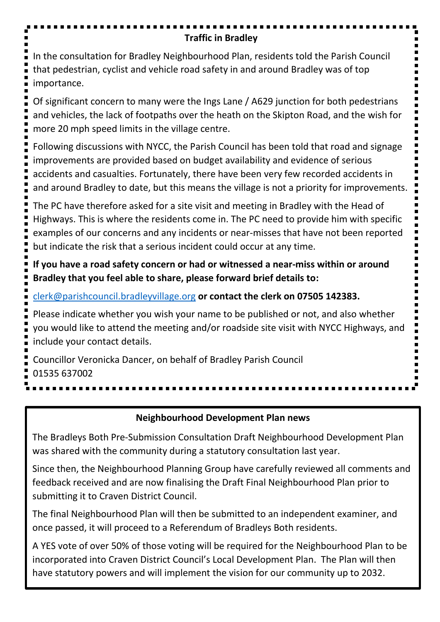# **Traffic in Bradley**

In the consultation for Bradley Neighbourhood Plan, residents told the Parish Council that pedestrian, cyclist and vehicle road safety in and around Bradley was of top importance.

Of significant concern to many were the Ings Lane / A629 junction for both pedestrians and vehicles, the lack of footpaths over the heath on the Skipton Road, and the wish for more 20 mph speed limits in the village centre.

Following discussions with NYCC, the Parish Council has been told that road and signage improvements are provided based on budget availability and evidence of serious accidents and casualties. Fortunately, there have been very few recorded accidents in and around Bradley to date, but this means the village is not a priority for improvements.

The PC have therefore asked for a site visit and meeting in Bradley with the Head of Highways. This is where the residents come in. The PC need to provide him with specific examples of our concerns and any incidents or near-misses that have not been reported but indicate the risk that a serious incident could occur at any time.

**If you have a road safety concern or had or witnessed a near-miss within or around Bradley that you feel able to share, please forward brief details to:**

[clerk@parishcouncil.bradleyvillage.org](mailto:clerk@parishcouncil.bradleyvillage.org) **or contact the clerk on 07505 142383.**

Please indicate whether you wish your name to be published or not, and also whether you would like to attend the meeting and/or roadside site visit with NYCC Highways, and include your contact details.

Councillor Veronicka Dancer, on behalf of Bradley Parish Council 01535 637002

# **Neighbourhood Development Plan news**

The Bradleys Both Pre-Submission Consultation Draft Neighbourhood Development Plan was shared with the community during a statutory consultation last year.

Since then, the Neighbourhood Planning Group have carefully reviewed all comments and feedback received and are now finalising the Draft Final Neighbourhood Plan prior to submitting it to Craven District Council.

The final Neighbourhood Plan will then be submitted to an independent examiner, and once passed, it will proceed to a Referendum of Bradleys Both residents.

A YES vote of over 50% of those voting will be required for the Neighbourhood Plan to be incorporated into Craven District Council's Local Development Plan. The Plan will then have statutory powers and will implement the vision for our community up to 2032.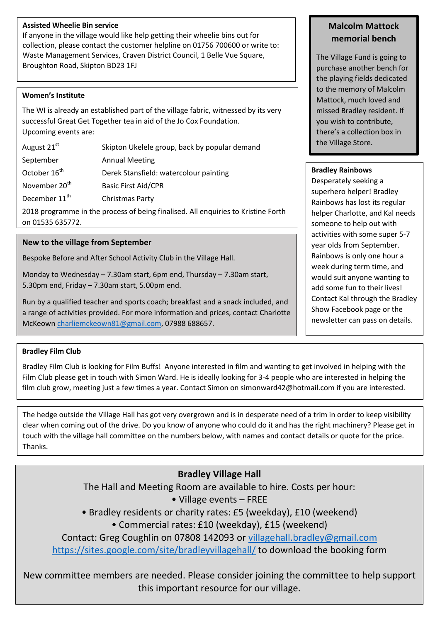#### **Assisted Wheelie Bin service**

If anyone in the village would like help getting their wheelie bins out for collection, please contact the customer helpline on 01756 700600 or write to: Waste Management Services, Craven District Council, 1 Belle Vue Square, Broughton Road, Skipton BD23 1FJ

#### **Women's Institute**

The WI is already an established part of the village fabric, witnessed by its very successful Great Get Together tea in aid of the Jo Cox Foundation. Upcoming events are:

| August 21 <sup>st</sup>   | Skipton Ukelele group, back by popular demand |  |
|---------------------------|-----------------------------------------------|--|
| September                 | <b>Annual Meeting</b>                         |  |
| October 16 <sup>th</sup>  | Derek Stansfield: watercolour painting        |  |
| November 20 <sup>th</sup> | <b>Basic First Aid/CPR</b>                    |  |
| December 11 <sup>th</sup> | Christmas Party                               |  |
|                           |                                               |  |

2018 programme in the process of being finalised. All enquiries to Kristine Forth on 01535 635772.

#### **New to the village from September**

Bespoke Before and After School Activity Club in the Village Hall.

Monday to Wednesday – 7.30am start, 6pm end, Thursday – 7.30am start, 5.30pm end, Friday – 7.30am start, 5.00pm end.

Run by a qualified teacher and sports coach; breakfast and a snack included, and a range of activities provided. For more information and prices, contact Charlotte McKeow[n charliemckeown81@gmail.com,](mailto:charliemckeown81@gmail.com) 07988 688657.

#### **Bradley Film Club**

Bradley Film Club is looking for Film Buffs! Anyone interested in film and wanting to get involved in helping with the Film Club please get in touch with Simon Ward. He is ideally looking for 3-4 people who are interested in helping the film club grow, meeting just a few times a year. Contact Simon on simonward42@hotmail.com if you are interested.

The hedge outside the Village Hall has got very overgrown and is in desperate need of a trim in order to keep visibility clear when coming out of the drive. Do you know of anyone who could do it and has the right machinery? Please get in touch with the village hall committee on the numbers below, with names and contact details or quote for the price. Thanks.

### **Bradley Village Hall**

The Hall and Meeting Room are available to hire. Costs per hour:

• Village events – FREE

• Bradley residents or charity rates: £5 (weekday), £10 (weekend)

• Commercial rates: £10 (weekday), £15 (weekend)

Contact: Greg Coughlin on 07808 142093 or [villagehall.bradley@gmail.com](mailto:villagehall.bradley@gmail.com)

<https://sites.google.com/site/bradleyvillagehall/> to download the booking form

New committee members are needed. Please consider joining the committee to help support this important resource for our village.

#### **Malcolm Mattock memorial bench**

The Village Fund is going to purchase another bench for the playing fields dedicated to the memory of Malcolm Mattock, much loved and missed Bradley resident. If you wish to contribute, there's a collection box in the Village Store.

#### **Bradley Rainbows**

Desperately seeking a superhero helper! Bradley Rainbows has lost its regular helper Charlotte, and Kal needs someone to help out with activities with some super 5-7 year olds from September. Rainbows is only one hour a week during term time, and would suit anyone wanting to add some fun to their lives! Contact Kal through the Bradley Show Facebook page or the newsletter can pass on details.